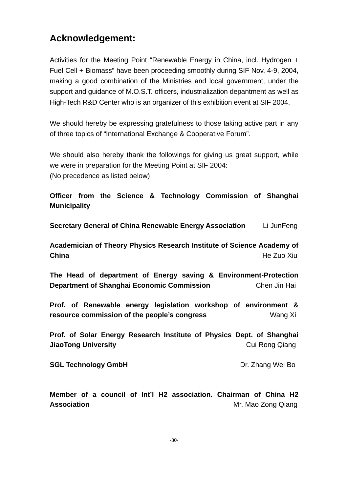## **Acknowledgement:**

Activities for the Meeting Point "Renewable Energy in China, incl. Hydrogen + Fuel Cell + Biomass" have been proceeding smoothly during SIF Nov. 4-9, 2004, making a good combination of the Ministries and local government, under the support and guidance of M.O.S.T. officers, industrialization depantment as well as High-Tech R&D Center who is an organizer of this exhibition event at SIF 2004.

We should hereby be expressing gratefulness to those taking active part in any of three topics of "International Exchange & Cooperative Forum".

We should also hereby thank the followings for giving us great support, while we were in preparation for the Meeting Point at SIF 2004: (No precedence as listed below)

**Officer from the Science & Technology Commission of Shanghai Municipality** 

**Secretary General of China Renewable Energy Association** Li JunFeng

**Academician of Theory Physics Research Institute of Science Academy of China** He Zuo Xiu

**The Head of department of Energy saving & Environment-Protection Department of Shanghai Economic Commission** Chen Jin Hai

**Prof. of Renewable energy legislation workshop of environment & resource commission of the people's congress** Wang Xi

**Prof. of Solar Energy Research Institute of Physics Dept. of Shanghai JiaoTong University Cui Rong Qiang** 

**SGL Technology GmbH** Dr. Zhang Wei Bo

**Member of a council of Int'l H2 association. Chairman of China H2 Association Association Mr. Mac Zong Qiang**